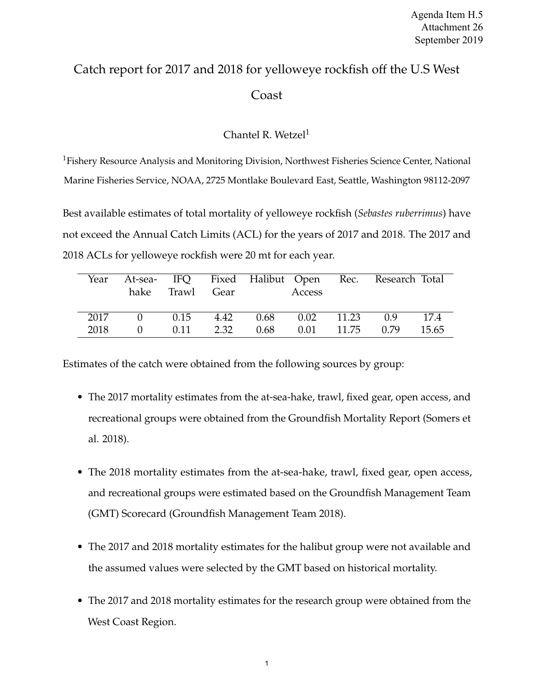## Catch report for 2017 and 2018 for yelloweye rockfish off the U.S West Coast

## Chantel R. Wetzel<sup>1</sup>

<sup>1</sup>Fishery Resource Analysis and Monitoring Division, Northwest Fisheries Science Center, National Marine Fisheries Service, NOAA, 2725 Montlake Boulevard East, Seattle, Washington 98112-2097

Best available estimates of total mortality of yelloweye rockfish (*Sebastes ruberrimus*) have not exceed the Annual Catch Limits (ACL) for the years of 2017 and 2018. The 2017 and 2018 ACLs for yelloweye rockfish were 20 mt for each year.

|      | Year At-sea- IFQ Fixed Halibut Open Rec. Research Total | hake Trawl Gear |  | Access                                             |  |  |
|------|---------------------------------------------------------|-----------------|--|----------------------------------------------------|--|--|
| 2017 |                                                         |                 |  | 0 0.15 4.42 0.68 0.02 11.23 0.9 17.4               |  |  |
| 2018 | $\Omega$                                                |                 |  | $0.11$ $2.32$ $0.68$ $0.01$ $11.75$ $0.79$ $15.65$ |  |  |

Estimates of the catch were obtained from the following sources by group:

- The 2017 mortality estimates from the at-sea-hake, trawl, fixed gear, open access, and recreational groups were obtained from the Groundfish Mortality Report (Somers et al. 2018).
- The 2018 mortality estimates from the at-sea-hake, trawl, fixed gear, open access, and recreational groups were estimated based on the Groundfish Management Team (GMT) Scorecard (Groundfish Management Team 2018).
- The 2017 and 2018 mortality estimates for the halibut group were not available and the assumed values were selected by the GMT based on historical mortality.
- The 2017 and 2018 mortality estimates for the research group were obtained from the West Coast Region.